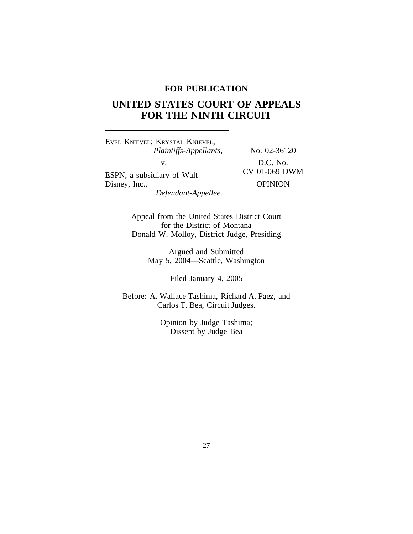# **FOR PUBLICATION**

# **UNITED STATES COURT OF APPEALS FOR THE NINTH CIRCUIT**

<sup>E</sup>VEL KNIEVEL; KRYSTAL KNIEVEL, *Plaintiffs-Appellants,* No. 02-36120 v.  $D.C. No.$ <br>
CV 01-069 DWM ESPN, a subsidiary of Walt Disney, Inc., OPINION *Defendant-Appellee.*

Appeal from the United States District Court for the District of Montana Donald W. Molloy, District Judge, Presiding

> Argued and Submitted May 5, 2004—Seattle, Washington

> > Filed January 4, 2005

Before: A. Wallace Tashima, Richard A. Paez, and Carlos T. Bea, Circuit Judges.

> Opinion by Judge Tashima; Dissent by Judge Bea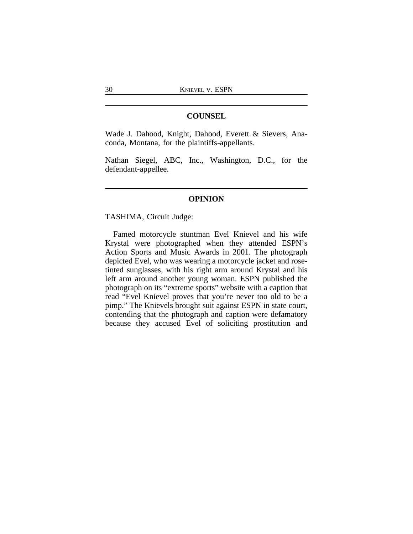## **COUNSEL**

Wade J. Dahood, Knight, Dahood, Everett & Sievers, Anaconda, Montana, for the plaintiffs-appellants.

Nathan Siegel, ABC, Inc., Washington, D.C., for the defendant-appellee.

#### **OPINION**

#### TASHIMA, Circuit Judge:

Famed motorcycle stuntman Evel Knievel and his wife Krystal were photographed when they attended ESPN's Action Sports and Music Awards in 2001. The photograph depicted Evel, who was wearing a motorcycle jacket and rosetinted sunglasses, with his right arm around Krystal and his left arm around another young woman. ESPN published the photograph on its "extreme sports" website with a caption that read "Evel Knievel proves that you're never too old to be a pimp." The Knievels brought suit against ESPN in state court, contending that the photograph and caption were defamatory because they accused Evel of soliciting prostitution and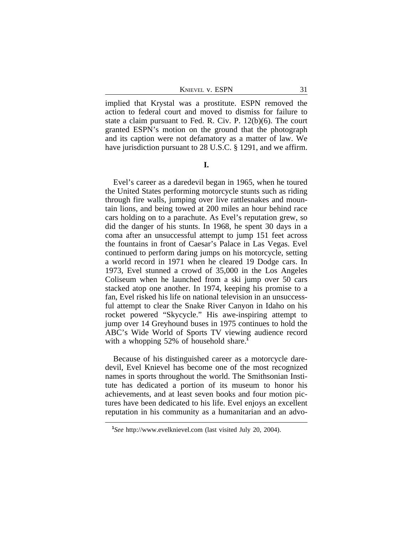KNIEVEL V. ESPN 31

implied that Krystal was a prostitute. ESPN removed the action to federal court and moved to dismiss for failure to state a claim pursuant to Fed. R. Civ. P. 12(b)(6). The court granted ESPN's motion on the ground that the photograph and its caption were not defamatory as a matter of law. We have jurisdiction pursuant to 28 U.S.C. § 1291, and we affirm.

**I.**

Evel's career as a daredevil began in 1965, when he toured the United States performing motorcycle stunts such as riding through fire walls, jumping over live rattlesnakes and mountain lions, and being towed at 200 miles an hour behind race cars holding on to a parachute. As Evel's reputation grew, so did the danger of his stunts. In 1968, he spent 30 days in a coma after an unsuccessful attempt to jump 151 feet across the fountains in front of Caesar's Palace in Las Vegas. Evel continued to perform daring jumps on his motorcycle, setting a world record in 1971 when he cleared 19 Dodge cars. In 1973, Evel stunned a crowd of 35,000 in the Los Angeles Coliseum when he launched from a ski jump over 50 cars stacked atop one another. In 1974, keeping his promise to a fan, Evel risked his life on national television in an unsuccessful attempt to clear the Snake River Canyon in Idaho on his rocket powered "Skycycle." His awe-inspiring attempt to jump over 14 Greyhound buses in 1975 continues to hold the ABC's Wide World of Sports TV viewing audience record with a whopping 52% of household share.<sup>1</sup>

Because of his distinguished career as a motorcycle daredevil, Evel Knievel has become one of the most recognized names in sports throughout the world. The Smithsonian Institute has dedicated a portion of its museum to honor his achievements, and at least seven books and four motion pictures have been dedicated to his life. Evel enjoys an excellent reputation in his community as a humanitarian and an advo-

**<sup>1</sup>** *See* http://www.evelknievel.com (last visited July 20, 2004).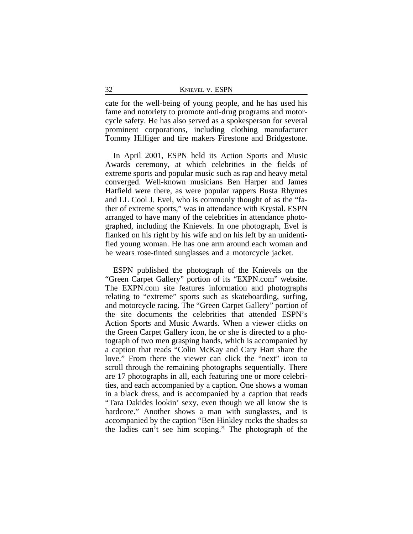cate for the well-being of young people, and he has used his fame and notoriety to promote anti-drug programs and motorcycle safety. He has also served as a spokesperson for several prominent corporations, including clothing manufacturer Tommy Hilfiger and tire makers Firestone and Bridgestone.

In April 2001, ESPN held its Action Sports and Music Awards ceremony, at which celebrities in the fields of extreme sports and popular music such as rap and heavy metal converged. Well-known musicians Ben Harper and James Hatfield were there, as were popular rappers Busta Rhymes and LL Cool J. Evel, who is commonly thought of as the "father of extreme sports," was in attendance with Krystal. ESPN arranged to have many of the celebrities in attendance photographed, including the Knievels. In one photograph, Evel is flanked on his right by his wife and on his left by an unidentified young woman. He has one arm around each woman and he wears rose-tinted sunglasses and a motorcycle jacket.

ESPN published the photograph of the Knievels on the "Green Carpet Gallery" portion of its "EXPN.com" website. The EXPN.com site features information and photographs relating to "extreme" sports such as skateboarding, surfing, and motorcycle racing. The "Green Carpet Gallery" portion of the site documents the celebrities that attended ESPN's Action Sports and Music Awards. When a viewer clicks on the Green Carpet Gallery icon, he or she is directed to a photograph of two men grasping hands, which is accompanied by a caption that reads "Colin McKay and Cary Hart share the love." From there the viewer can click the "next" icon to scroll through the remaining photographs sequentially. There are 17 photographs in all, each featuring one or more celebrities, and each accompanied by a caption. One shows a woman in a black dress, and is accompanied by a caption that reads "Tara Dakides lookin' sexy, even though we all know she is hardcore." Another shows a man with sunglasses, and is accompanied by the caption "Ben Hinkley rocks the shades so the ladies can't see him scoping." The photograph of the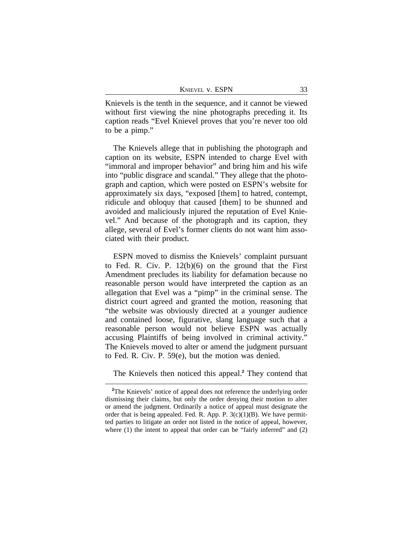| KNIEVEL V. ESPN |  |
|-----------------|--|
|                 |  |

Knievels is the tenth in the sequence, and it cannot be viewed without first viewing the nine photographs preceding it. Its caption reads "Evel Knievel proves that you're never too old to be a pimp."

The Knievels allege that in publishing the photograph and caption on its website, ESPN intended to charge Evel with "immoral and improper behavior" and bring him and his wife into "public disgrace and scandal." They allege that the photograph and caption, which were posted on ESPN's website for approximately six days, "exposed [them] to hatred, contempt, ridicule and obloquy that caused [them] to be shunned and avoided and maliciously injured the reputation of Evel Knievel." And because of the photograph and its caption, they allege, several of Evel's former clients do not want him associated with their product.

ESPN moved to dismiss the Knievels' complaint pursuant to Fed. R. Civ. P. 12(b)(6) on the ground that the First Amendment precludes its liability for defamation because no reasonable person would have interpreted the caption as an allegation that Evel was a "pimp" in the criminal sense. The district court agreed and granted the motion, reasoning that "the website was obviously directed at a younger audience and contained loose, figurative, slang language such that a reasonable person would not believe ESPN was actually accusing Plaintiffs of being involved in criminal activity." The Knievels moved to alter or amend the judgment pursuant to Fed. R. Civ. P. 59(e), but the motion was denied.

The Knievels then noticed this appeal.**<sup>2</sup>** They contend that

<sup>&</sup>lt;sup>2</sup>The Knievels' notice of appeal does not reference the underlying order dismissing their claims, but only the order denying their motion to alter or amend the judgment. Ordinarily a notice of appeal must designate the order that is being appealed. Fed. R. App. P.  $3(c)(1)(B)$ . We have permitted parties to litigate an order not listed in the notice of appeal, however, where (1) the intent to appeal that order can be "fairly inferred" and (2)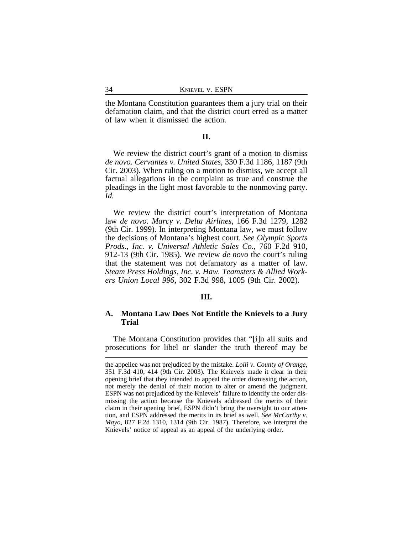the Montana Constitution guarantees them a jury trial on their defamation claim, and that the district court erred as a matter of law when it dismissed the action.

## **II.**

We review the district court's grant of a motion to dismiss *de novo*. *Cervantes v. United States*, 330 F.3d 1186, 1187 (9th Cir. 2003). When ruling on a motion to dismiss, we accept all factual allegations in the complaint as true and construe the pleadings in the light most favorable to the nonmoving party. *Id.*

We review the district court's interpretation of Montana law *de novo*. *Marcy v. Delta Airlines*, 166 F.3d 1279, 1282 (9th Cir. 1999). In interpreting Montana law, we must follow the decisions of Montana's highest court. *See Olympic Sports Prods., Inc. v. Universal Athletic Sales Co.*, 760 F.2d 910, 912-13 (9th Cir. 1985). We review *de novo* the court's ruling that the statement was not defamatory as a matter of law. *Steam Press Holdings, Inc. v. Haw. Teamsters & Allied Workers Union Local 996*, 302 F.3d 998, 1005 (9th Cir. 2002).

#### **III.**

## **A. Montana Law Does Not Entitle the Knievels to a Jury Trial**

The Montana Constitution provides that "[i]n all suits and prosecutions for libel or slander the truth thereof may be

the appellee was not prejudiced by the mistake. *Lolli v. County of Orange*, 351 F.3d 410, 414 (9th Cir. 2003). The Knievels made it clear in their opening brief that they intended to appeal the order dismissing the action, not merely the denial of their motion to alter or amend the judgment. ESPN was not prejudiced by the Knievels' failure to identify the order dismissing the action because the Knievels addressed the merits of their claim in their opening brief, ESPN didn't bring the oversight to our attention, and ESPN addressed the merits in its brief as well. *See McCarthy v. Mayo*, 827 F.2d 1310, 1314 (9th Cir. 1987). Therefore, we interpret the Knievels' notice of appeal as an appeal of the underlying order.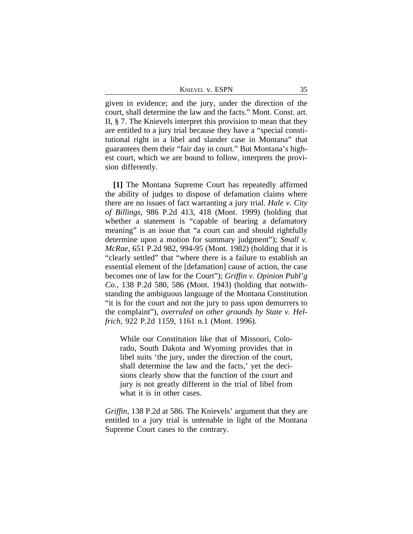KNIEVEL V. ESPN 35

given in evidence; and the jury, under the direction of the court, shall determine the law and the facts." Mont. Const. art. II, § 7. The Knievels interpret this provision to mean that they are entitled to a jury trial because they have a "special constitutional right in a libel and slander case in Montana" that guarantees them their "fair day in court." But Montana's highest court, which we are bound to follow, interprets the provision differently.

**[1]** The Montana Supreme Court has repeatedly affirmed the ability of judges to dispose of defamation claims where there are no issues of fact warranting a jury trial. *Hale v. City of Billings*, 986 P.2d 413, 418 (Mont. 1999) (holding that whether a statement is "capable of bearing a defamatory meaning" is an issue that "a court can and should rightfully determine upon a motion for summary judgment"); *Small v. McRae*, 651 P.2d 982, 994-95 (Mont. 1982) (holding that it is "clearly settled" that "where there is a failure to establish an essential element of the [defamation] cause of action, the case becomes one of law for the Court"); *Griffin v. Opinion Publ'g Co.*, 138 P.2d 580, 586 (Mont. 1943) (holding that notwithstanding the ambiguous language of the Montana Constitution "it is for the court and not the jury to pass upon demurrers to the complaint"), *overruled on other grounds by State v. Helfrich*, 922 P.2d 1159, 1161 n.1 (Mont. 1996).

While our Constitution like that of Missouri, Colorado, South Dakota and Wyoming provides that in libel suits 'the jury, under the direction of the court, shall determine the law and the facts,' yet the decisions clearly show that the function of the court and jury is not greatly different in the trial of libel from what it is in other cases.

*Griffin*, 138 P.2d at 586. The Knievels' argument that they are entitled to a jury trial is untenable in light of the Montana Supreme Court cases to the contrary.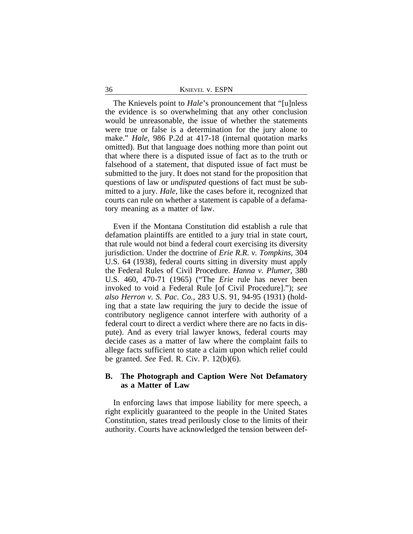36 KNIEVEL v. ESPN

The Knievels point to *Hale*'s pronouncement that "[u]nless the evidence is so overwhelming that any other conclusion would be unreasonable, the issue of whether the statements were true or false is a determination for the jury alone to make." *Hale*, 986 P.2d at 417-18 (internal quotation marks omitted). But that language does nothing more than point out that where there is a disputed issue of fact as to the truth or falsehood of a statement, that disputed issue of fact must be submitted to the jury. It does not stand for the proposition that questions of law or *undisputed* questions of fact must be submitted to a jury. *Hale*, like the cases before it, recognized that courts can rule on whether a statement is capable of a defamatory meaning as a matter of law.

Even if the Montana Constitution did establish a rule that defamation plaintiffs are entitled to a jury trial in state court, that rule would not bind a federal court exercising its diversity jurisdiction. Under the doctrine of *Erie R.R. v. Tompkins*, 304 U.S. 64 (1938), federal courts sitting in diversity must apply the Federal Rules of Civil Procedure. *Hanna v. Plumer*, 380 U.S. 460, 470-71 (1965) ("The *Erie* rule has never been invoked to void a Federal Rule [of Civil Procedure]."); *see also Herron v. S. Pac. Co.*, 283 U.S. 91, 94-95 (1931) (holding that a state law requiring the jury to decide the issue of contributory negligence cannot interfere with authority of a federal court to direct a verdict where there are no facts in dispute). And as every trial lawyer knows, federal courts may decide cases as a matter of law where the complaint fails to allege facts sufficient to state a claim upon which relief could be granted. *See* Fed. R. Civ. P. 12(b)(6).

# **B. The Photograph and Caption Were Not Defamatory as a Matter of Law**

In enforcing laws that impose liability for mere speech, a right explicitly guaranteed to the people in the United States Constitution, states tread perilously close to the limits of their authority. Courts have acknowledged the tension between def-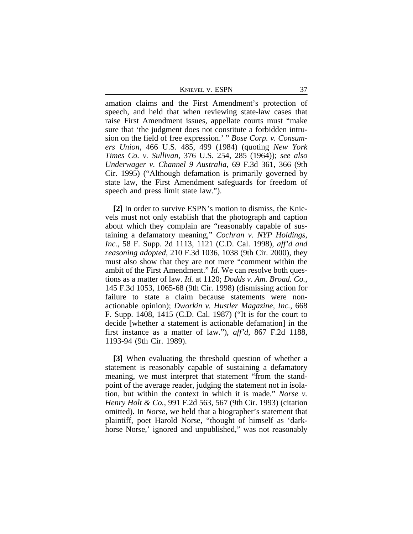KNIEVEL V. ESPN 37

amation claims and the First Amendment's protection of speech, and held that when reviewing state-law cases that raise First Amendment issues, appellate courts must "make sure that 'the judgment does not constitute a forbidden intrusion on the field of free expression.' " *Bose Corp. v. Consumers Union*, 466 U.S. 485, 499 (1984) (quoting *New York Times Co. v. Sullivan*, 376 U.S. 254, 285 (1964)); *see also Underwager v. Channel 9 Australia*, 69 F.3d 361, 366 (9th Cir. 1995) ("Although defamation is primarily governed by state law, the First Amendment safeguards for freedom of speech and press limit state law.").

**[2]** In order to survive ESPN's motion to dismiss, the Knievels must not only establish that the photograph and caption about which they complain are "reasonably capable of sustaining a defamatory meaning," *Cochran v. NYP Holdings, Inc.*, 58 F. Supp. 2d 1113, 1121 (C.D. Cal. 1998), *aff'd and reasoning adopted*, 210 F.3d 1036, 1038 (9th Cir. 2000), they must also show that they are not mere "comment within the ambit of the First Amendment." *Id.* We can resolve both questions as a matter of law. *Id.* at 1120; *Dodds v. Am. Broad. Co.*, 145 F.3d 1053, 1065-68 (9th Cir. 1998) (dismissing action for failure to state a claim because statements were nonactionable opinion); *Dworkin v. Hustler Magazine, Inc.*, 668 F. Supp. 1408, 1415 (C.D. Cal. 1987) ("It is for the court to decide [whether a statement is actionable defamation] in the first instance as a matter of law."), *aff'd*, 867 F.2d 1188, 1193-94 (9th Cir. 1989).

**[3]** When evaluating the threshold question of whether a statement is reasonably capable of sustaining a defamatory meaning, we must interpret that statement "from the standpoint of the average reader, judging the statement not in isolation, but within the context in which it is made." *Norse v. Henry Holt & Co.*, 991 F.2d 563, 567 (9th Cir. 1993) (citation omitted). In *Norse*, we held that a biographer's statement that plaintiff, poet Harold Norse, "thought of himself as 'darkhorse Norse,' ignored and unpublished," was not reasonably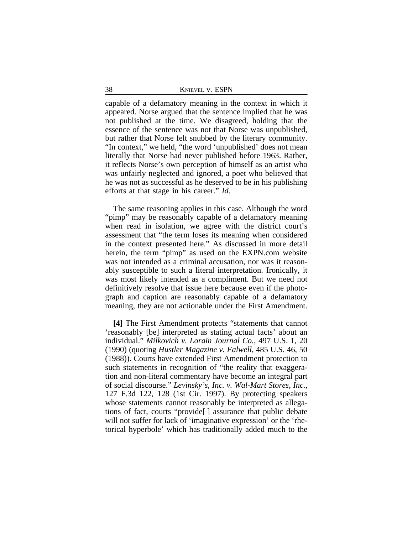capable of a defamatory meaning in the context in which it appeared. Norse argued that the sentence implied that he was not published at the time. We disagreed, holding that the essence of the sentence was not that Norse was unpublished, but rather that Norse felt snubbed by the literary community. "In context," we held, "the word 'unpublished' does not mean literally that Norse had never published before 1963. Rather, it reflects Norse's own perception of himself as an artist who was unfairly neglected and ignored, a poet who believed that he was not as successful as he deserved to be in his publishing efforts at that stage in his career." *Id.*

The same reasoning applies in this case. Although the word "pimp" may be reasonably capable of a defamatory meaning when read in isolation, we agree with the district court's assessment that "the term loses its meaning when considered in the context presented here." As discussed in more detail herein, the term "pimp" as used on the EXPN.com website was not intended as a criminal accusation, nor was it reasonably susceptible to such a literal interpretation. Ironically, it was most likely intended as a compliment. But we need not definitively resolve that issue here because even if the photograph and caption are reasonably capable of a defamatory meaning, they are not actionable under the First Amendment.

**[4]** The First Amendment protects "statements that cannot 'reasonably [be] interpreted as stating actual facts' about an individual." *Milkovich v. Lorain Journal Co.*, 497 U.S. 1, 20 (1990) (quoting *Hustler Magazine v. Falwell*, 485 U.S. 46, 50 (1988)). Courts have extended First Amendment protection to such statements in recognition of "the reality that exaggeration and non-literal commentary have become an integral part of social discourse." *Levinsky's, Inc. v. Wal-Mart Stores, Inc.*, 127 F.3d 122, 128 (1st Cir. 1997). By protecting speakers whose statements cannot reasonably be interpreted as allegations of fact, courts "provide[ ] assurance that public debate will not suffer for lack of 'imaginative expression' or the 'rhetorical hyperbole' which has traditionally added much to the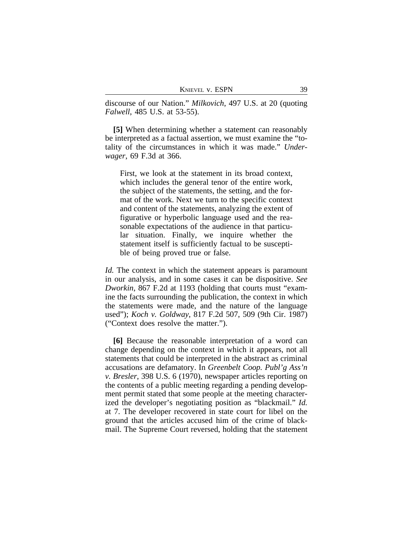discourse of our Nation." *Milkovich*, 497 U.S. at 20 (quoting *Falwell*, 485 U.S. at 53-55).

**[5]** When determining whether a statement can reasonably be interpreted as a factual assertion, we must examine the "totality of the circumstances in which it was made." *Underwager*, 69 F.3d at 366.

First, we look at the statement in its broad context, which includes the general tenor of the entire work, the subject of the statements, the setting, and the format of the work. Next we turn to the specific context and content of the statements, analyzing the extent of figurative or hyperbolic language used and the reasonable expectations of the audience in that particular situation. Finally, we inquire whether the statement itself is sufficiently factual to be susceptible of being proved true or false.

*Id.* The context in which the statement appears is paramount in our analysis, and in some cases it can be dispositive. *See Dworkin*, 867 F.2d at 1193 (holding that courts must "examine the facts surrounding the publication, the context in which the statements were made, and the nature of the language used"); *Koch v. Goldway*, 817 F.2d 507, 509 (9th Cir. 1987) ("Context does resolve the matter.").

**[6]** Because the reasonable interpretation of a word can change depending on the context in which it appears, not all statements that could be interpreted in the abstract as criminal accusations are defamatory. In *Greenbelt Coop. Publ'g Ass'n v. Bresler*, 398 U.S. 6 (1970), newspaper articles reporting on the contents of a public meeting regarding a pending development permit stated that some people at the meeting characterized the developer's negotiating position as "blackmail." *Id.* at 7. The developer recovered in state court for libel on the ground that the articles accused him of the crime of blackmail. The Supreme Court reversed, holding that the statement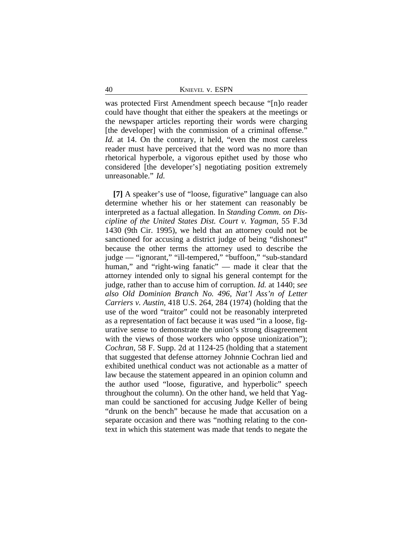was protected First Amendment speech because "[n]o reader could have thought that either the speakers at the meetings or the newspaper articles reporting their words were charging [the developer] with the commission of a criminal offense." *Id.* at 14. On the contrary, it held, "even the most careless reader must have perceived that the word was no more than rhetorical hyperbole, a vigorous epithet used by those who considered [the developer's] negotiating position extremely unreasonable." *Id.*

**[7]** A speaker's use of "loose, figurative" language can also determine whether his or her statement can reasonably be interpreted as a factual allegation. In *Standing Comm. on Discipline of the United States Dist. Court v. Yagman*, 55 F.3d 1430 (9th Cir. 1995), we held that an attorney could not be sanctioned for accusing a district judge of being "dishonest" because the other terms the attorney used to describe the judge — "ignorant," "ill-tempered," "buffoon," "sub-standard human," and "right-wing fanatic" — made it clear that the attorney intended only to signal his general contempt for the judge, rather than to accuse him of corruption. *Id.* at 1440; *see also Old Dominion Branch No. 496, Nat'l Ass'n of Letter Carriers v. Austin*, 418 U.S. 264, 284 (1974) (holding that the use of the word "traitor" could not be reasonably interpreted as a representation of fact because it was used "in a loose, figurative sense to demonstrate the union's strong disagreement with the views of those workers who oppose unionization"); *Cochran*, 58 F. Supp. 2d at 1124-25 (holding that a statement that suggested that defense attorney Johnnie Cochran lied and exhibited unethical conduct was not actionable as a matter of law because the statement appeared in an opinion column and the author used "loose, figurative, and hyperbolic" speech throughout the column). On the other hand, we held that Yagman could be sanctioned for accusing Judge Keller of being "drunk on the bench" because he made that accusation on a separate occasion and there was "nothing relating to the context in which this statement was made that tends to negate the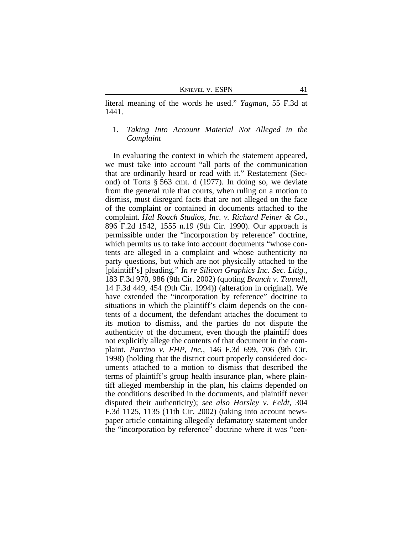KNIEVEL V. ESPN 41

literal meaning of the words he used." *Yagman*, 55 F.3d at 1441.

# 1. *Taking Into Account Material Not Alleged in the Complaint*

In evaluating the context in which the statement appeared, we must take into account "all parts of the communication that are ordinarily heard or read with it." Restatement (Second) of Torts § 563 cmt. d (1977). In doing so, we deviate from the general rule that courts, when ruling on a motion to dismiss, must disregard facts that are not alleged on the face of the complaint or contained in documents attached to the complaint. *Hal Roach Studios, Inc. v. Richard Feiner & Co.*, 896 F.2d 1542, 1555 n.19 (9th Cir. 1990). Our approach is permissible under the "incorporation by reference" doctrine, which permits us to take into account documents "whose contents are alleged in a complaint and whose authenticity no party questions, but which are not physically attached to the [plaintiff's] pleading." *In re Silicon Graphics Inc. Sec. Litig.*, 183 F.3d 970, 986 (9th Cir. 2002) (quoting *Branch v. Tunnell*, 14 F.3d 449, 454 (9th Cir. 1994)) (alteration in original). We have extended the "incorporation by reference" doctrine to situations in which the plaintiff's claim depends on the contents of a document, the defendant attaches the document to its motion to dismiss, and the parties do not dispute the authenticity of the document, even though the plaintiff does not explicitly allege the contents of that document in the complaint. *Parrino v. FHP, Inc.*, 146 F.3d 699, 706 (9th Cir. 1998) (holding that the district court properly considered documents attached to a motion to dismiss that described the terms of plaintiff's group health insurance plan, where plaintiff alleged membership in the plan, his claims depended on the conditions described in the documents, and plaintiff never disputed their authenticity); *see also Horsley v. Feldt*, 304 F.3d 1125, 1135 (11th Cir. 2002) (taking into account newspaper article containing allegedly defamatory statement under the "incorporation by reference" doctrine where it was "cen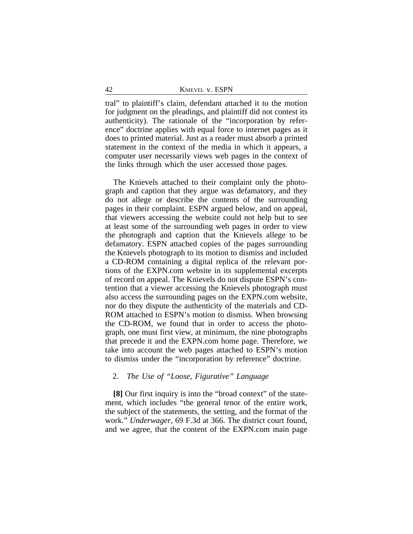tral" to plaintiff's claim, defendant attached it to the motion for judgment on the pleadings, and plaintiff did not contest its authenticity). The rationale of the "incorporation by reference" doctrine applies with equal force to internet pages as it does to printed material. Just as a reader must absorb a printed statement in the context of the media in which it appears, a computer user necessarily views web pages in the context of the links through which the user accessed those pages.

The Knievels attached to their complaint only the photograph and caption that they argue was defamatory, and they do not allege or describe the contents of the surrounding pages in their complaint. ESPN argued below, and on appeal, that viewers accessing the website could not help but to see at least some of the surrounding web pages in order to view the photograph and caption that the Knievels allege to be defamatory. ESPN attached copies of the pages surrounding the Knievels photograph to its motion to dismiss and included a CD-ROM containing a digital replica of the relevant portions of the EXPN.com website in its supplemental excerpts of record on appeal. The Knievels do not dispute ESPN's contention that a viewer accessing the Knievels photograph must also access the surrounding pages on the EXPN.com website, nor do they dispute the authenticity of the materials and CD-ROM attached to ESPN's motion to dismiss. When browsing the CD-ROM, we found that in order to access the photograph, one must first view, at minimum, the nine photographs that precede it and the EXPN.com home page. Therefore, we take into account the web pages attached to ESPN's motion to dismiss under the "incorporation by reference" doctrine.

# 2. *The Use of "Loose, Figurative" Language*

**[8]** Our first inquiry is into the "broad context" of the statement, which includes "the general tenor of the entire work, the subject of the statements, the setting, and the format of the work." *Underwager*, 69 F.3d at 366. The district court found, and we agree, that the content of the EXPN.com main page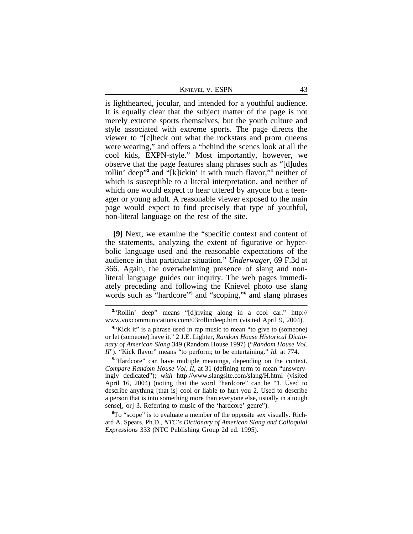KNIEVEL V. ESPN 43

is lighthearted, jocular, and intended for a youthful audience. It is equally clear that the subject matter of the page is not merely extreme sports themselves, but the youth culture and style associated with extreme sports. The page directs the viewer to "[c]heck out what the rockstars and prom queens were wearing," and offers a "behind the scenes look at all the cool kids, EXPN-style." Most importantly, however, we observe that the page features slang phrases such as "[d]udes rollin' deep"<sup>3</sup> and "[k]ickin' it with much flavor,"<sup>4</sup> neither of which is susceptible to a literal interpretation, and neither of which one would expect to hear uttered by anyone but a teenager or young adult. A reasonable viewer exposed to the main page would expect to find precisely that type of youthful, non-literal language on the rest of the site.

**[9]** Next, we examine the "specific context and content of the statements, analyzing the extent of figurative or hyperbolic language used and the reasonable expectations of the audience in that particular situation." *Underwager*, 69 F.3d at 366. Again, the overwhelming presence of slang and nonliteral language guides our inquiry. The web pages immediately preceding and following the Knievel photo use slang words such as "hardcore"<sup>5</sup> and "scoping,"<sup>6</sup> and slang phrases

<sup>5</sup><sup>*u*</sup>Hardcore" can have multiple meanings, depending on the context. *Compare Random House Vol. II*, at 31 (defining term to mean "unswervingly dedicated"); *with* http://www.slangsite.com/slang/H.html (visited April 16, 2004) (noting that the word "hardcore" can be "1. Used to describe anything [that is] cool or liable to hurt you 2. Used to describe a person that is into something more than everyone else, usually in a tough sense[, or] 3. Referring to music of the 'hardcore' genre").

**<sup>6</sup>**To "scope" is to evaluate a member of the opposite sex visually. Richard A. Spears, Ph.D., *NTC's Dictionary of American Slang and Colloquial Expressions* 333 (NTC Publishing Group 2d ed. 1995).

**<sup>3</sup>** "Rollin' deep" means "[d]riving along in a cool car." http:// www.voxcommunications.com/03rollindeep.htm (visited April 9, 2004).

<sup>&</sup>lt;sup>4</sup> Kick it" is a phrase used in rap music to mean "to give to (someone) or let (someone) have it." 2 J.E. Lighter, *Random House Historical Dictionary of American Slang* 349 (Random House 1997) ("*Random House Vol. II*"). "Kick flavor" means "to perform; to be entertaining." *Id.* at 774.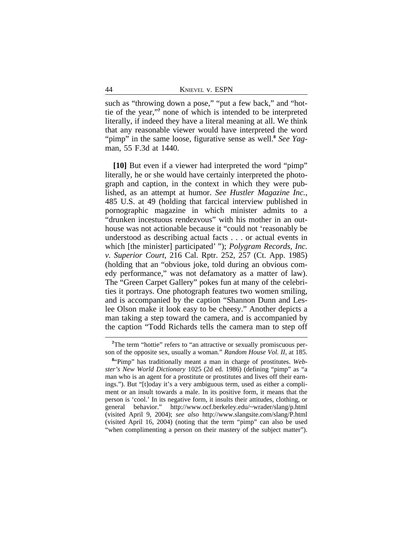such as "throwing down a pose," "put a few back," and "hottie of the year," **7** none of which is intended to be interpreted literally, if indeed they have a literal meaning at all. We think that any reasonable viewer would have interpreted the word "pimp" in the same loose, figurative sense as well.<sup>8</sup> See Yagman, 55 F.3d at 1440.

**[10]** But even if a viewer had interpreted the word "pimp" literally, he or she would have certainly interpreted the photograph and caption, in the context in which they were published, as an attempt at humor. *See Hustler Magazine Inc.*, 485 U.S. at 49 (holding that farcical interview published in pornographic magazine in which minister admits to a "drunken incestuous rendezvous" with his mother in an outhouse was not actionable because it "could not 'reasonably be understood as describing actual facts . . . or actual events in which [the minister] participated' "); *Polygram Records, Inc. v. Superior Court*, 216 Cal. Rptr. 252, 257 (Ct. App. 1985) (holding that an "obvious joke, told during an obvious comedy performance," was not defamatory as a matter of law). The "Green Carpet Gallery" pokes fun at many of the celebrities it portrays. One photograph features two women smiling, and is accompanied by the caption "Shannon Dunn and Leslee Olson make it look easy to be cheesy." Another depicts a man taking a step toward the camera, and is accompanied by the caption "Todd Richards tells the camera man to step off

<sup>&</sup>lt;sup>7</sup>The term "hottie" refers to "an attractive or sexually promiscuous person of the opposite sex, usually a woman." *Random House Vol. II*, at 185.

**<sup>8</sup>** "Pimp" has traditionally meant a man in charge of prostitutes. *Webster's New World Dictionary* 1025 (2d ed. 1986) (defining "pimp" as "a man who is an agent for a prostitute or prostitutes and lives off their earnings."). But "[t]oday it's a very ambiguous term, used as either a compliment or an insult towards a male. In its positive form, it means that the person is 'cool.' In its negative form, it insults their attitudes, clothing, or general behavior." http://www.ocf.berkeley.edu/~wrader/slang/p.html (visited April 9, 2004); *see also* http://www.slangsite.com/slang/P.html (visited April 16, 2004) (noting that the term "pimp" can also be used "when complimenting a person on their mastery of the subject matter").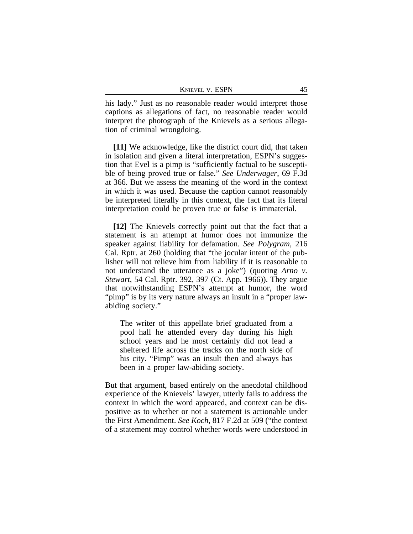| KNIEVEL V. ESPN |  |
|-----------------|--|
|-----------------|--|

his lady." Just as no reasonable reader would interpret those captions as allegations of fact, no reasonable reader would interpret the photograph of the Knievels as a serious allegation of criminal wrongdoing.

**[11]** We acknowledge, like the district court did, that taken in isolation and given a literal interpretation, ESPN's suggestion that Evel is a pimp is "sufficiently factual to be susceptible of being proved true or false." *See Underwager*, 69 F.3d at 366. But we assess the meaning of the word in the context in which it was used. Because the caption cannot reasonably be interpreted literally in this context, the fact that its literal interpretation could be proven true or false is immaterial.

**[12]** The Knievels correctly point out that the fact that a statement is an attempt at humor does not immunize the speaker against liability for defamation. *See Polygram*, 216 Cal. Rptr. at 260 (holding that "the jocular intent of the publisher will not relieve him from liability if it is reasonable to not understand the utterance as a joke") (quoting *Arno v. Stewart*, 54 Cal. Rptr. 392, 397 (Ct. App. 1966)). They argue that notwithstanding ESPN's attempt at humor, the word "pimp" is by its very nature always an insult in a "proper lawabiding society."

The writer of this appellate brief graduated from a pool hall he attended every day during his high school years and he most certainly did not lead a sheltered life across the tracks on the north side of his city. "Pimp" was an insult then and always has been in a proper law-abiding society.

But that argument, based entirely on the anecdotal childhood experience of the Knievels' lawyer, utterly fails to address the context in which the word appeared, and context can be dispositive as to whether or not a statement is actionable under the First Amendment. *See Koch*, 817 F.2d at 509 ("the context of a statement may control whether words were understood in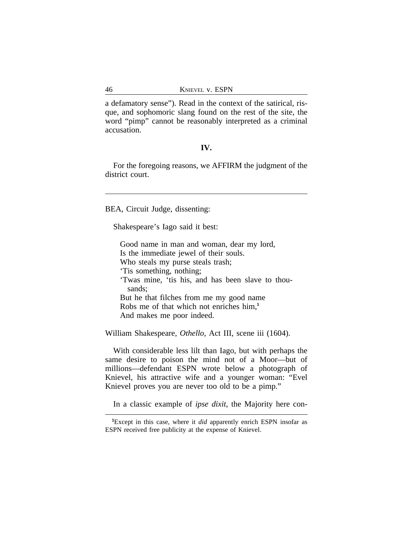a defamatory sense"). Read in the context of the satirical, risque, and sophomoric slang found on the rest of the site, the word "pimp" cannot be reasonably interpreted as a criminal accusation.

## **IV.**

For the foregoing reasons, we AFFIRM the judgment of the district court.

BEA, Circuit Judge, dissenting:

Shakespeare's Iago said it best:

Good name in man and woman, dear my lord, Is the immediate jewel of their souls. Who steals my purse steals trash; 'Tis something, nothing; 'Twas mine, 'tis his, and has been slave to thousands; But he that filches from me my good name Robs me of that which not enriches him,**<sup>1</sup>** And makes me poor indeed.

William Shakespeare, *Othello*, Act III, scene iii (1604).

With considerable less lilt than Iago, but with perhaps the same desire to poison the mind not of a Moor—but of millions—defendant ESPN wrote below a photograph of Knievel, his attractive wife and a younger woman: "Evel Knievel proves you are never too old to be a pimp."

In a classic example of *ipse dixit*, the Majority here con-

**<sup>1</sup>**Except in this case, where it *did* apparently enrich ESPN insofar as ESPN received free publicity at the expense of Knievel.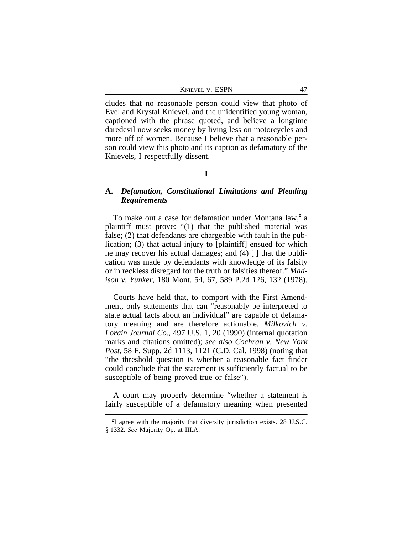| KNIEVEL V. ESPN |  |
|-----------------|--|
|                 |  |

cludes that no reasonable person could view that photo of Evel and Krystal Knievel, and the unidentified young woman, captioned with the phrase quoted, and believe a longtime daredevil now seeks money by living less on motorcycles and more off of women. Because I believe that a reasonable person could view this photo and its caption as defamatory of the Knievels, I respectfully dissent.

## **I**

# **A.** *Defamation, Constitutional Limitations and Pleading Requirements*

To make out a case for defamation under Montana law,<sup>2</sup> a plaintiff must prove: "(1) that the published material was false; (2) that defendants are chargeable with fault in the publication; (3) that actual injury to [plaintiff] ensued for which he may recover his actual damages; and (4) [] that the publication was made by defendants with knowledge of its falsity or in reckless disregard for the truth or falsities thereof." *Madison v. Yunker*, 180 Mont. 54, 67, 589 P.2d 126, 132 (1978).

Courts have held that, to comport with the First Amendment, only statements that can "reasonably be interpreted to state actual facts about an individual" are capable of defamatory meaning and are therefore actionable. *Milkovich v. Lorain Journal Co.*, 497 U.S. 1, 20 (1990) (internal quotation marks and citations omitted); *see also Cochran v. New York Post*, 58 F. Supp. 2d 1113, 1121 (C.D. Cal. 1998) (noting that "the threshold question is whether a reasonable fact finder could conclude that the statement is sufficiently factual to be susceptible of being proved true or false").

A court may properly determine "whether a statement is fairly susceptible of a defamatory meaning when presented

**<sup>2</sup>** I agree with the majority that diversity jurisdiction exists. 28 U.S.C. § 1332. *See* Majority Op. at III.A.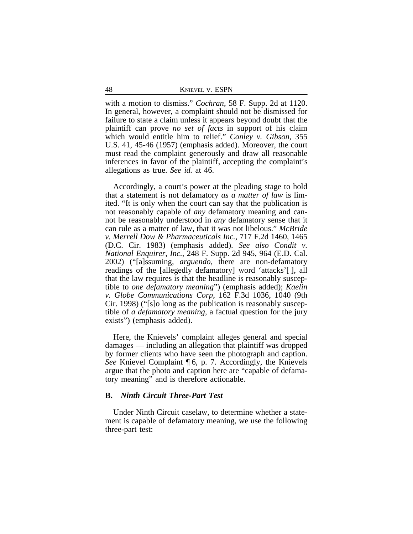with a motion to dismiss." *Cochran*, 58 F. Supp. 2d at 1120. In general, however, a complaint should not be dismissed for failure to state a claim unless it appears beyond doubt that the plaintiff can prove *no set of facts* in support of his claim which would entitle him to relief." *Conley v. Gibson*, 355 U.S. 41, 45-46 (1957) (emphasis added). Moreover, the court must read the complaint generously and draw all reasonable inferences in favor of the plaintiff, accepting the complaint's allegations as true. *See id.* at 46.

Accordingly, a court's power at the pleading stage to hold that a statement is not defamatory *as a matter of law* is limited. "It is only when the court can say that the publication is not reasonably capable of *any* defamatory meaning and cannot be reasonably understood in *any* defamatory sense that it can rule as a matter of law, that it was not libelous." *McBride v. Merrell Dow & Pharmaceuticals Inc.*, 717 F.2d 1460, 1465 (D.C. Cir. 1983) (emphasis added). *See also Condit v. National Enquirer, Inc.*, 248 F. Supp. 2d 945, 964 (E.D. Cal. 2002) ("[a]ssuming, *arguendo*, there are non-defamatory readings of the [allegedly defamatory] word 'attacks'[ ], all that the law requires is that the headline is reasonably susceptible to *one defamatory meaning*") (emphasis added); *Kaelin v. Globe Communications Corp*, 162 F.3d 1036, 1040 (9th Cir. 1998) ("[s]o long as the publication is reasonably susceptible of *a defamatory meaning,* a factual question for the jury exists") (emphasis added).

Here, the Knievels' complaint alleges general and special damages — including an allegation that plaintiff was dropped by former clients who have seen the photograph and caption. *See* Knievel Complaint ¶ 6, p. 7. Accordingly, the Knievels argue that the photo and caption here are "capable of defamatory meaning" and is therefore actionable.

## **B.** *Ninth Circuit Three-Part Test*

Under Ninth Circuit caselaw, to determine whether a statement is capable of defamatory meaning, we use the following three-part test: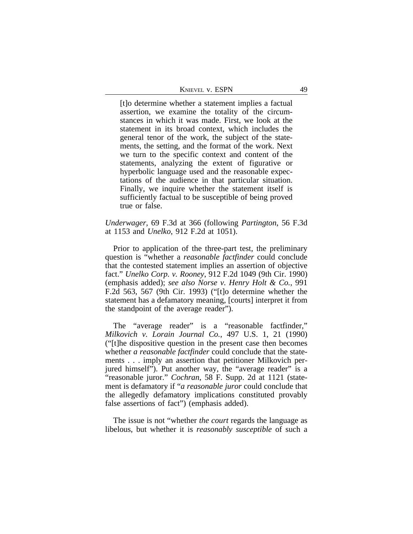| KNIEVEL V. ESPN | 49 |
|-----------------|----|
|                 |    |

[t]o determine whether a statement implies a factual assertion, we examine the totality of the circumstances in which it was made. First, we look at the statement in its broad context, which includes the general tenor of the work, the subject of the statements, the setting, and the format of the work. Next we turn to the specific context and content of the statements, analyzing the extent of figurative or hyperbolic language used and the reasonable expectations of the audience in that particular situation. Finally, we inquire whether the statement itself is sufficiently factual to be susceptible of being proved true or false.

# *Underwager*, 69 F.3d at 366 (following *Partington*, 56 F.3d at 1153 and *Unelko*, 912 F.2d at 1051).

Prior to application of the three-part test, the preliminary question is "whether a *reasonable factfinder* could conclude that the contested statement implies an assertion of objective fact." *Unelko Corp. v. Rooney*, 912 F.2d 1049 (9th Cir. 1990) (emphasis added); *see also Norse v. Henry Holt & Co.*, 991 F.2d 563, 567 (9th Cir. 1993) ("[t]o determine whether the statement has a defamatory meaning, [courts] interpret it from the standpoint of the average reader").

The "average reader" is a "reasonable factfinder," *Milkovich v. Lorain Journal Co.*, 497 U.S. 1, 21 (1990) ("[t]he dispositive question in the present case then becomes whether *a reasonable factfinder* could conclude that the statements . . . imply an assertion that petitioner Milkovich perjured himself"). Put another way, the "average reader" is a "reasonable juror." *Cochran*, 58 F. Supp. 2d at 1121 (statement is defamatory if "*a reasonable juror* could conclude that the allegedly defamatory implications constituted provably false assertions of fact") (emphasis added).

The issue is not "whether *the court* regards the language as libelous, but whether it is *reasonably susceptible* of such a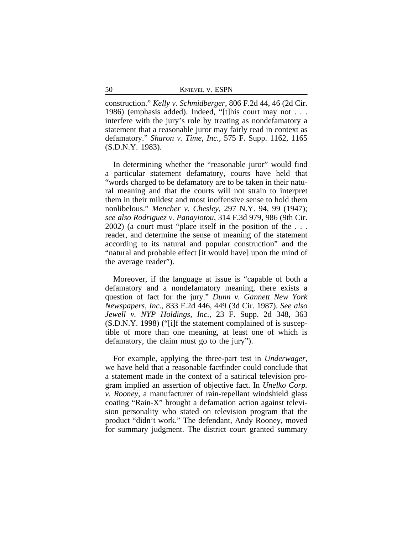construction." *Kelly v. Schmidberger*, 806 F.2d 44, 46 (2d Cir. 1986) (emphasis added). Indeed, "[t]his court may not . . . interfere with the jury's role by treating as nondefamatory a statement that a reasonable juror may fairly read in context as defamatory." *Sharon v. Time, Inc.*, 575 F. Supp. 1162, 1165 (S.D.N.Y. 1983).

In determining whether the "reasonable juror" would find a particular statement defamatory, courts have held that "words charged to be defamatory are to be taken in their natural meaning and that the courts will not strain to interpret them in their mildest and most inoffensive sense to hold them nonlibelous." *Mencher v. Chesley*, 297 N.Y. 94, 99 (1947); *see also Rodriguez v. Panayiotou*, 314 F.3d 979, 986 (9th Cir. 2002) (a court must "place itself in the position of the . . . reader, and determine the sense of meaning of the statement according to its natural and popular construction" and the "natural and probable effect [it would have] upon the mind of the average reader").

Moreover, if the language at issue is "capable of both a defamatory and a nondefamatory meaning, there exists a question of fact for the jury." *Dunn v. Gannett New York Newspapers, Inc.*, 833 F.2d 446, 449 (3d Cir. 1987). *See also Jewell v. NYP Holdings, Inc.*, 23 F. Supp. 2d 348, 363 (S.D.N.Y. 1998) ("[i]f the statement complained of is susceptible of more than one meaning, at least one of which is defamatory, the claim must go to the jury").

For example, applying the three-part test in *Underwager*, we have held that a reasonable factfinder could conclude that a statement made in the context of a satirical television program implied an assertion of objective fact. In *Unelko Corp. v. Rooney*, a manufacturer of rain-repellant windshield glass coating "Rain-X" brought a defamation action against television personality who stated on television program that the product "didn't work." The defendant, Andy Rooney, moved for summary judgment. The district court granted summary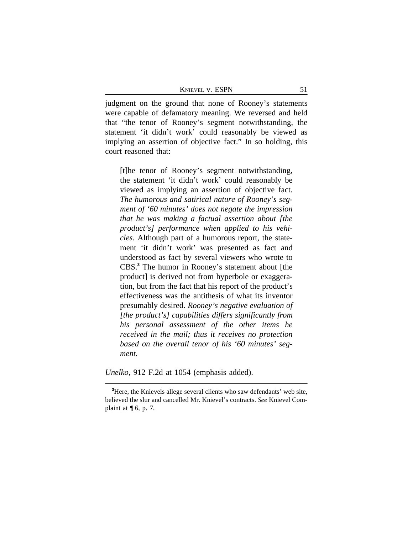KNIEVEL V. ESPN 51

judgment on the ground that none of Rooney's statements were capable of defamatory meaning. We reversed and held that "the tenor of Rooney's segment notwithstanding, the statement 'it didn't work' could reasonably be viewed as implying an assertion of objective fact." In so holding, this court reasoned that:

[t]he tenor of Rooney's segment notwithstanding, the statement 'it didn't work' could reasonably be viewed as implying an assertion of objective fact. *The humorous and satirical nature of Rooney's segment of '60 minutes' does not negate the impression that he was making a factual assertion about [the product's] performance when applied to his vehicles*. Although part of a humorous report, the statement 'it didn't work' was presented as fact and understood as fact by several viewers who wrote to CBS.**<sup>3</sup>** The humor in Rooney's statement about [the product] is derived not from hyperbole or exaggeration, but from the fact that his report of the product's effectiveness was the antithesis of what its inventor presumably desired. *Rooney's negative evaluation of [the product's] capabilities differs significantly from his personal assessment of the other items he received in the mail; thus it receives no protection based on the overall tenor of his '60 minutes' segment.* 

*Unelko*, 912 F.2d at 1054 (emphasis added).

<sup>&</sup>lt;sup>3</sup>Here, the Knievels allege several clients who saw defendants' web site, believed the slur and cancelled Mr. Knievel's contracts. *See* Knievel Complaint at  $\P$  6, p. 7.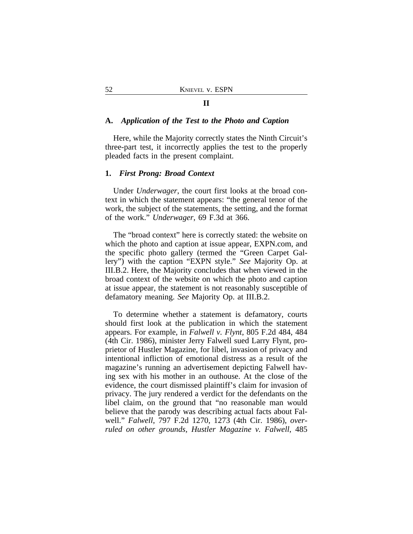# **A.** *Application of the Test to the Photo and Caption*

Here, while the Majority correctly states the Ninth Circuit's three-part test, it incorrectly applies the test to the properly pleaded facts in the present complaint.

#### **1.** *First Prong: Broad Context*

Under *Underwager*, the court first looks at the broad context in which the statement appears: "the general tenor of the work, the subject of the statements, the setting, and the format of the work." *Underwager*, 69 F.3d at 366.

The "broad context" here is correctly stated: the website on which the photo and caption at issue appear, EXPN.com, and the specific photo gallery (termed the "Green Carpet Gallery") with the caption "EXPN style." *See* Majority Op. at III.B.2. Here, the Majority concludes that when viewed in the broad context of the website on which the photo and caption at issue appear, the statement is not reasonably susceptible of defamatory meaning. *See* Majority Op. at III.B.2.

To determine whether a statement is defamatory, courts should first look at the publication in which the statement appears. For example, in *Falwell v. Flynt*, 805 F.2d 484, 484 (4th Cir. 1986), minister Jerry Falwell sued Larry Flynt, proprietor of Hustler Magazine, for libel, invasion of privacy and intentional infliction of emotional distress as a result of the magazine's running an advertisement depicting Falwell having sex with his mother in an outhouse. At the close of the evidence, the court dismissed plaintiff's claim for invasion of privacy. The jury rendered a verdict for the defendants on the libel claim, on the ground that "no reasonable man would believe that the parody was describing actual facts about Falwell." *Falwell*, 797 F.2d 1270, 1273 (4th Cir. 1986), *overruled on other grounds, Hustler Magazine v. Falwell*, 485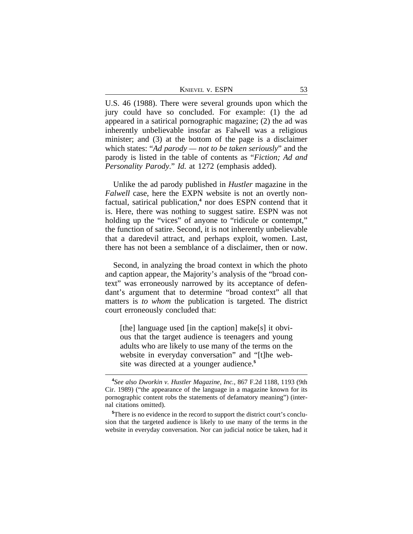| KNIEVEL V. ESPN |  |
|-----------------|--|
|-----------------|--|

U.S. 46 (1988). There were several grounds upon which the jury could have so concluded. For example: (1) the ad appeared in a satirical pornographic magazine; (2) the ad was inherently unbelievable insofar as Falwell was a religious minister; and (3) at the bottom of the page is a disclaimer which states: "*Ad parody — not to be taken seriously*" and the parody is listed in the table of contents as "*Fiction; Ad and Personality Parody*." *Id.* at 1272 (emphasis added).

Unlike the ad parody published in *Hustler* magazine in the *Falwell* case, here the EXPN website is not an overtly nonfactual, satirical publication,**<sup>4</sup>** nor does ESPN contend that it is. Here, there was nothing to suggest satire. ESPN was not holding up the "vices" of anyone to "ridicule or contempt," the function of satire. Second, it is not inherently unbelievable that a daredevil attract, and perhaps exploit, women. Last, there has not been a semblance of a disclaimer, then or now.

Second, in analyzing the broad context in which the photo and caption appear, the Majority's analysis of the "broad context" was erroneously narrowed by its acceptance of defendant's argument that to determine "broad context" all that matters is *to whom* the publication is targeted. The district court erroneously concluded that:

[the] language used [in the caption] make[s] it obvious that the target audience is teenagers and young adults who are likely to use many of the terms on the website in everyday conversation" and "[t]he website was directed at a younger audience.**<sup>5</sup>**

**<sup>4</sup>** *See also Dworkin v. Hustler Magazine, Inc.*, 867 F.2d 1188, 1193 (9th Cir. 1989) ("the appearance of the language in a magazine known for its pornographic content robs the statements of defamatory meaning") (internal citations omitted).

**<sup>5</sup>**There is no evidence in the record to support the district court's conclusion that the targeted audience is likely to use many of the terms in the website in everyday conversation. Nor can judicial notice be taken, had it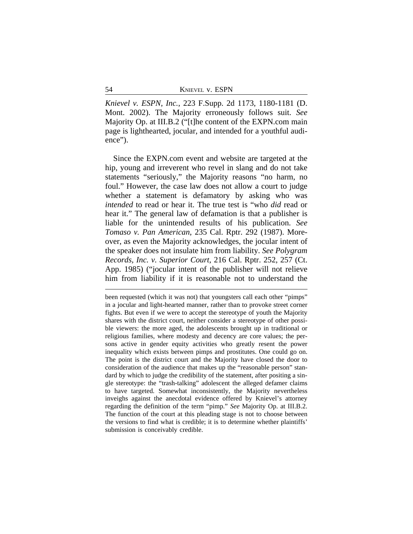| 54 | <b>KNIEVEL V. ESPN</b> |
|----|------------------------|
|    |                        |

*Knievel v. ESPN, Inc.*, 223 F.Supp. 2d 1173, 1180-1181 (D. Mont. 2002). The Majority erroneously follows suit. *See* Majority Op. at III.B.2 ("[t]he content of the EXPN.com main page is lighthearted, jocular, and intended for a youthful audience").

Since the EXPN.com event and website are targeted at the hip, young and irreverent who revel in slang and do not take statements "seriously," the Majority reasons "no harm, no foul." However, the case law does not allow a court to judge whether a statement is defamatory by asking who was *intended* to read or hear it. The true test is "who *did* read or hear it." The general law of defamation is that a publisher is liable for the unintended results of his publication. *See Tomaso v. Pan American*, 235 Cal. Rptr. 292 (1987). Moreover, as even the Majority acknowledges, the jocular intent of the speaker does not insulate him from liability. *See Polygram Records, Inc. v. Superior Court*, 216 Cal. Rptr. 252, 257 (Ct. App. 1985) ("jocular intent of the publisher will not relieve him from liability if it is reasonable not to understand the

been requested (which it was not) that youngsters call each other "pimps" in a jocular and light-hearted manner, rather than to provoke street corner fights. But even if we were to accept the stereotype of youth the Majority shares with the district court, neither consider a stereotype of other possible viewers: the more aged, the adolescents brought up in traditional or religious families, where modesty and decency are core values; the persons active in gender equity activities who greatly resent the power inequality which exists between pimps and prostitutes. One could go on. The point is the district court and the Majority have closed the door to consideration of the audience that makes up the "reasonable person" standard by which to judge the credibility of the statement, after positing a single stereotype: the "trash-talking" adolescent the alleged defamer claims to have targeted. Somewhat inconsistently, the Majority nevertheless inveighs against the anecdotal evidence offered by Knievel's attorney regarding the definition of the term "pimp." *See* Majority Op. at III.B.2. The function of the court at this pleading stage is not to choose between the versions to find what is credible; it is to determine whether plaintiffs' submission is conceivably credible.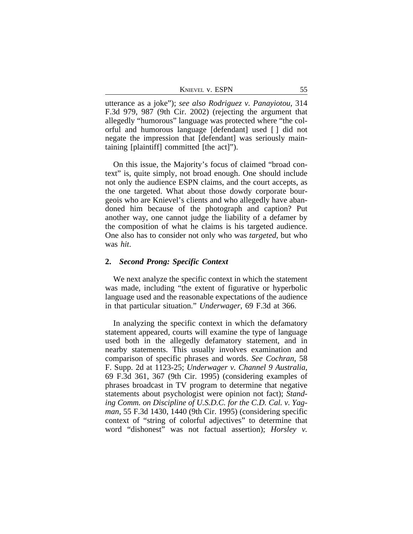| KNIEVEL V. ESPN |  |
|-----------------|--|
|                 |  |

utterance as a joke"); *see also Rodriguez v. Panayiotou*, 314 F.3d 979, 987 (9th Cir. 2002) (rejecting the argument that allegedly "humorous" language was protected where "the colorful and humorous language [defendant] used [ ] did not negate the impression that [defendant] was seriously maintaining [plaintiff] committed [the act]").

On this issue, the Majority's focus of claimed "broad context" is, quite simply, not broad enough. One should include not only the audience ESPN claims, and the court accepts, as the one targeted. What about those dowdy corporate bourgeois who are Knievel's clients and who allegedly have abandoned him because of the photograph and caption? Put another way, one cannot judge the liability of a defamer by the composition of what he claims is his targeted audience. One also has to consider not only who was *targeted*, but who was *hit*.

### **2.** *Second Prong: Specific Context*

We next analyze the specific context in which the statement was made, including "the extent of figurative or hyperbolic language used and the reasonable expectations of the audience in that particular situation." *Underwager*, 69 F.3d at 366.

In analyzing the specific context in which the defamatory statement appeared, courts will examine the type of language used both in the allegedly defamatory statement, and in nearby statements. This usually involves examination and comparison of specific phrases and words. *See Cochran*, 58 F. Supp. 2d at 1123-25; *Underwager v. Channel 9 Australia*, 69 F.3d 361, 367 (9th Cir. 1995) (considering examples of phrases broadcast in TV program to determine that negative statements about psychologist were opinion not fact); *Standing Comm. on Discipline of U.S.D.C. for the C.D. Cal. v. Yagman*, 55 F.3d 1430, 1440 (9th Cir. 1995) (considering specific context of "string of colorful adjectives" to determine that word "dishonest" was not factual assertion); *Horsley v.*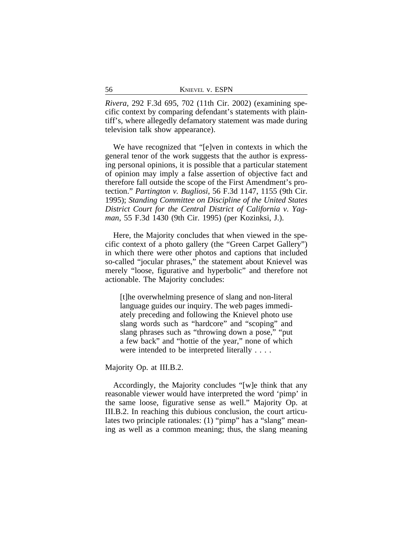| 56 | <b>KNIEVEL V. ESPN</b> |
|----|------------------------|
|    |                        |

*Rivera*, 292 F.3d 695, 702 (11th Cir. 2002) (examining specific context by comparing defendant's statements with plaintiff's, where allegedly defamatory statement was made during television talk show appearance).

We have recognized that "[e]ven in contexts in which the general tenor of the work suggests that the author is expressing personal opinions, it is possible that a particular statement of opinion may imply a false assertion of objective fact and therefore fall outside the scope of the First Amendment's protection." *Partington v. Bugliosi*, 56 F.3d 1147, 1155 (9th Cir. 1995); *Standing Committee on Discipline of the United States District Court for the Central District of California v. Yagman*, 55 F.3d 1430 (9th Cir. 1995) (per Kozinksi, J.).

Here, the Majority concludes that when viewed in the specific context of a photo gallery (the "Green Carpet Gallery") in which there were other photos and captions that included so-called "jocular phrases," the statement about Knievel was merely "loose, figurative and hyperbolic" and therefore not actionable. The Majority concludes:

[t]he overwhelming presence of slang and non-literal language guides our inquiry. The web pages immediately preceding and following the Knievel photo use slang words such as "hardcore" and "scoping" and slang phrases such as "throwing down a pose," "put a few back" and "hottie of the year," none of which were intended to be interpreted literally . . . .

Majority Op. at III.B.2.

Accordingly, the Majority concludes "[w]e think that any reasonable viewer would have interpreted the word 'pimp' in the same loose, figurative sense as well." Majority Op. at III.B.2. In reaching this dubious conclusion, the court articulates two principle rationales: (1) "pimp" has a "slang" meaning as well as a common meaning; thus, the slang meaning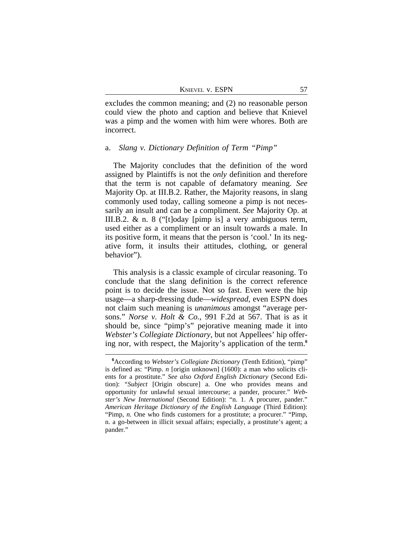| KNIEVEL V. ESPN |  |
|-----------------|--|
|                 |  |

excludes the common meaning; and (2) no reasonable person could view the photo and caption and believe that Knievel was a pimp and the women with him were whores. Both are incorrect.

#### a. *Slang v. Dictionary Definition of Term "Pimp"*

The Majority concludes that the definition of the word assigned by Plaintiffs is not the *only* definition and therefore that the term is not capable of defamatory meaning. *See* Majority Op. at III.B.2. Rather, the Majority reasons, in slang commonly used today, calling someone a pimp is not necessarily an insult and can be a compliment. *See* Majority Op. at III.B.2. & n. 8 ("[t]oday [pimp is] a very ambiguous term, used either as a compliment or an insult towards a male. In its positive form, it means that the person is 'cool.' In its negative form, it insults their attitudes, clothing, or general behavior").

This analysis is a classic example of circular reasoning. To conclude that the slang definition is the correct reference point is to decide the issue. Not so fast. Even were the hip usage—a sharp-dressing dude—*widespread*, even ESPN does not claim such meaning is *unanimous* amongst "average persons." *Norse v. Holt & Co.*, 991 F.2d at 567. That is as it should be, since "pimp's" pejorative meaning made it into *Webster's Collegiate Dictionary*, but not Appellees' hip offering nor, with respect, the Majority's application of the term.**<sup>6</sup>**

**<sup>6</sup>**According to *Webster's Collegiate Dictionary* (Tenth Edition), "pimp" is defined as: "Pimp. *n* [origin unknown] (1600): a man who solicits clients for a prostitute." *See also Oxford English Dictionary* (Second Edition): "*Subject* [Origin obscure] a. One who provides means and opportunity for unlawful sexual intercourse; a pander, procurer." *Webster's New International* (Second Edition): "n. 1. A procurer, pander." *American Heritage Dictionary of the English Language* (Third Edition): "Pimp, *n*. One who finds customers for a prostitute; a procurer." "Pimp, n. a go-between in illicit sexual affairs; especially, a prostitute's agent; a pander."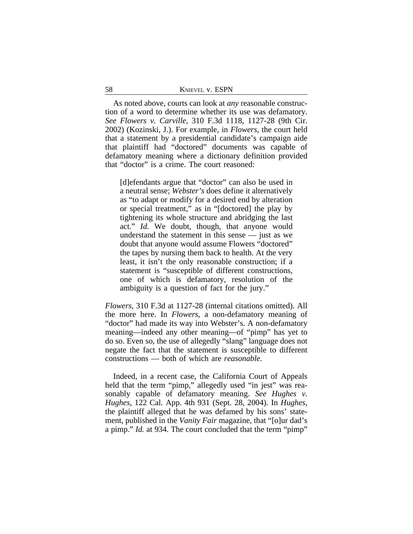| 58 | <b>KNIEVEL V. ESPN</b> |  |
|----|------------------------|--|
|    |                        |  |

As noted above, courts can look at *any* reasonable construction of a word to determine whether its use was defamatory. *See Flowers v. Carville*, 310 F.3d 1118, 1127-28 (9th Cir. 2002) (Kozinski, J.). For example, in *Flowers*, the court held that a statement by a presidential candidate's campaign aide that plaintiff had "doctored" documents was capable of defamatory meaning where a dictionary definition provided that "doctor" is a crime. The court reasoned:

[d]efendants argue that "doctor" can also be used in a neutral sense; *Webster's* does define it alternatively as "to adapt or modify for a desired end by alteration or special treatment," as in "[doctored] the play by tightening its whole structure and abridging the last act." *Id.* We doubt, though, that anyone would understand the statement in this sense — just as we doubt that anyone would assume Flowers "doctored" the tapes by nursing them back to health. At the very least, it isn't the only reasonable construction; if a statement is "susceptible of different constructions, one of which is defamatory, resolution of the ambiguity is a question of fact for the jury."

*Flowers,* 310 F.3d at 1127-28 (internal citations omitted). All the more here. In *Flowers*, a non-defamatory meaning of "doctor" had made its way into Webster's. A non-defamatory meaning—indeed any other meaning—of "pimp" has yet to do so. Even so, the use of allegedly "slang" language does not negate the fact that the statement is susceptible to different constructions — both of which are *reasonable*.

Indeed, in a recent case, the California Court of Appeals held that the term "pimp," allegedly used "in jest" was reasonably capable of defamatory meaning. *See Hughes v. Hughes*, 122 Cal. App. 4th 931 (Sept. 28, 2004). In *Hughes*, the plaintiff alleged that he was defamed by his sons' statement, published in the *Vanity Fair* magazine, that "[o]ur dad's a pimp." *Id.* at 934. The court concluded that the term "pimp"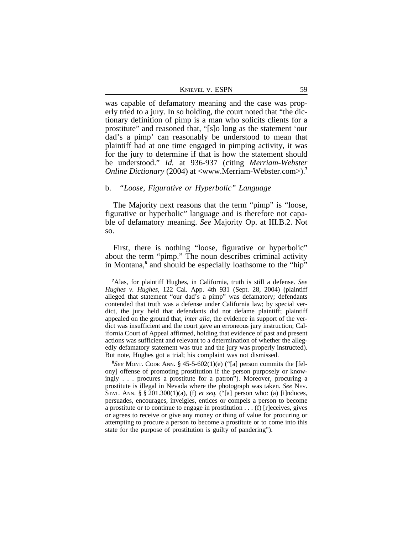| KNIEVEL V. ESPN |  |  |
|-----------------|--|--|
|                 |  |  |

was capable of defamatory meaning and the case was properly tried to a jury. In so holding, the court noted that "the dictionary definition of pimp is a man who solicits clients for a prostitute" and reasoned that, "[s]o long as the statement 'our dad's a pimp' can reasonably be understood to mean that plaintiff had at one time engaged in pimping activity, it was for the jury to determine if that is how the statement should be understood." *Id.* at 936-937 (citing *Merriam-Webster Online Dictionary* (2004) at <www.Merriam-Webster.com>).**<sup>7</sup>**

#### b. *"Loose, Figurative or Hyperbolic" Language*

The Majority next reasons that the term "pimp" is "loose, figurative or hyperbolic" language and is therefore not capable of defamatory meaning. *See* Majority Op. at III.B.2. Not so.

First, there is nothing "loose, figurative or hyperbolic" about the term "pimp." The noun describes criminal activity in Montana,**<sup>8</sup>** and should be especially loathsome to the "hip"

**8** *See* MONT. CODE ANN. § 45-5-602(1)(e) ("[a] person commits the [felony] offense of promoting prostitution if the person purposely or knowingly . . . procures a prostitute for a patron"). Moreover, procuring a prostitute is illegal in Nevada where the photograph was taken. *See* NEV. STAT. ANN. § § 201.300(1)(a), (f) *et seq.* ("[a] person who: (a) [i]nduces, persuades, encourages, inveigles, entices or compels a person to become a prostitute or to continue to engage in prostitution . . . (f) [r]eceives, gives or agrees to receive or give any money or thing of value for procuring or attempting to procure a person to become a prostitute or to come into this state for the purpose of prostitution is guilty of pandering").

**<sup>7</sup>**Alas, for plaintiff Hughes, in California, truth is still a defense. *See Hughes v. Hughes*, 122 Cal. App. 4th 931 (Sept. 28, 2004) (plaintiff alleged that statement "our dad's a pimp" was defamatory; defendants contended that truth was a defense under California law; by special verdict, the jury held that defendants did not defame plaintiff; plaintiff appealed on the ground that, *inter alia*, the evidence in support of the verdict was insufficient and the court gave an erroneous jury instruction; California Court of Appeal affirmed, holding that evidence of past and present actions was sufficient and relevant to a determination of whether the allegedly defamatory statement was true and the jury was properly instructed). But note, Hughes got a trial; his complaint was not dismissed.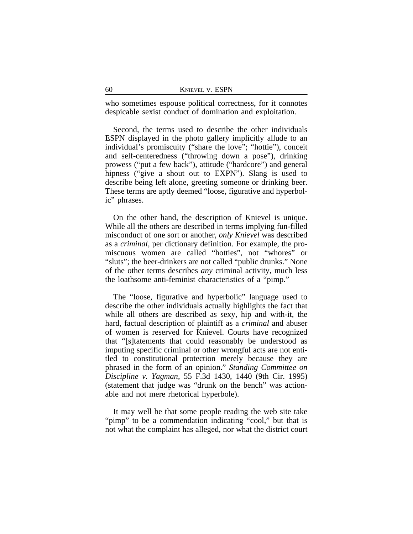who sometimes espouse political correctness, for it connotes despicable sexist conduct of domination and exploitation.

Second, the terms used to describe the other individuals ESPN displayed in the photo gallery implicitly allude to an individual's promiscuity ("share the love"; "hottie"), conceit and self-centeredness ("throwing down a pose"), drinking prowess ("put a few back"), attitude ("hardcore") and general hipness ("give a shout out to EXPN"). Slang is used to describe being left alone, greeting someone or drinking beer. These terms are aptly deemed "loose, figurative and hyperbolic" phrases.

On the other hand, the description of Knievel is unique. While all the others are described in terms implying fun-filled misconduct of one sort or another, *only Knievel* was described as a *criminal,* per dictionary definition. For example, the promiscuous women are called "hotties", not "whores" or "sluts"; the beer-drinkers are not called "public drunks." None of the other terms describes *any* criminal activity, much less the loathsome anti-feminist characteristics of a "pimp."

The "loose, figurative and hyperbolic" language used to describe the other individuals actually highlights the fact that while all others are described as sexy, hip and with-it, the hard, factual description of plaintiff as a *criminal* and abuser of women is reserved for Knievel. Courts have recognized that "[s]tatements that could reasonably be understood as imputing specific criminal or other wrongful acts are not entitled to constitutional protection merely because they are phrased in the form of an opinion." *Standing Committee on Discipline v. Yagman*, 55 F.3d 1430, 1440 (9th Cir. 1995) (statement that judge was "drunk on the bench" was actionable and not mere rhetorical hyperbole).

It may well be that some people reading the web site take "pimp" to be a commendation indicating "cool," but that is not what the complaint has alleged, nor what the district court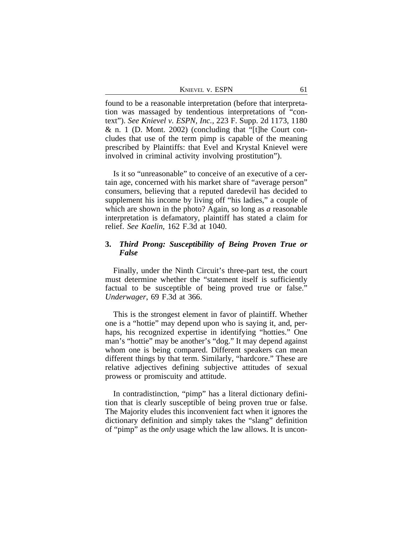| KNIEVEL V. ESPN |  |
|-----------------|--|
|                 |  |

found to be a reasonable interpretation (before that interpretation was massaged by tendentious interpretations of "context"). *See Knievel v. ESPN, Inc.,* 223 F. Supp. 2d 1173, 1180 & n. 1 (D. Mont. 2002) (concluding that "[t]he Court concludes that use of the term pimp is capable of the meaning prescribed by Plaintiffs: that Evel and Krystal Knievel were involved in criminal activity involving prostitution").

Is it so "unreasonable" to conceive of an executive of a certain age, concerned with his market share of "average person" consumers, believing that a reputed daredevil has decided to supplement his income by living off "his ladies," a couple of which are shown in the photo? Again, so long as *a* reasonable interpretation is defamatory, plaintiff has stated a claim for relief. *See Kaelin*, 162 F.3d at 1040.

# **3.** *Third Prong: Susceptibility of Being Proven True or False*

Finally, under the Ninth Circuit's three-part test, the court must determine whether the "statement itself is sufficiently factual to be susceptible of being proved true or false." *Underwager*, 69 F.3d at 366.

This is the strongest element in favor of plaintiff. Whether one is a "hottie" may depend upon who is saying it, and, perhaps, his recognized expertise in identifying "hotties." One man's "hottie" may be another's "dog." It may depend against whom one is being compared. Different speakers can mean different things by that term. Similarly, "hardcore." These are relative adjectives defining subjective attitudes of sexual prowess or promiscuity and attitude.

In contradistinction, "pimp" has a literal dictionary definition that is clearly susceptible of being proven true or false. The Majority eludes this inconvenient fact when it ignores the dictionary definition and simply takes the "slang" definition of "pimp" as the *only* usage which the law allows. It is uncon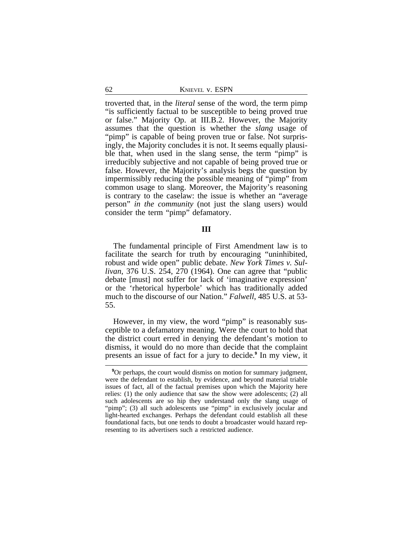troverted that, in the *literal* sense of the word, the term pimp "is sufficiently factual to be susceptible to being proved true or false." Majority Op. at III.B.2. However, the Majority assumes that the question is whether the *slang* usage of "pimp" is capable of being proven true or false. Not surprisingly, the Majority concludes it is not. It seems equally plausible that, when used in the slang sense, the term "pimp" is irreducibly subjective and not capable of being proved true or false. However, the Majority's analysis begs the question by impermissibly reducing the possible meaning of "pimp" from common usage to slang. Moreover, the Majority's reasoning is contrary to the caselaw: the issue is whether an "average person" *in the community* (not just the slang users) would consider the term "pimp" defamatory.

## **III**

The fundamental principle of First Amendment law is to facilitate the search for truth by encouraging "uninhibited, robust and wide open" public debate. *New York Times v. Sullivan*, 376 U.S. 254, 270 (1964). One can agree that "public debate [must] not suffer for lack of 'imaginative expression' or the 'rhetorical hyperbole' which has traditionally added much to the discourse of our Nation." *Falwell*, 485 U.S. at 53- 55.

However, in my view, the word "pimp" is reasonably susceptible to a defamatory meaning. Were the court to hold that the district court erred in denying the defendant's motion to dismiss, it would do no more than decide that the complaint presents an issue of fact for a jury to decide.**<sup>9</sup>** In my view, it

<sup>&</sup>lt;sup>9</sup>Or perhaps, the court would dismiss on motion for summary judgment, were the defendant to establish, by evidence, and beyond material triable issues of fact, all of the factual premises upon which the Majority here relies: (1) the only audience that saw the show were adolescents; (2) all such adolescents are so hip they understand only the slang usage of "pimp"; (3) all such adolescents use "pimp" in exclusively jocular and light-hearted exchanges. Perhaps the defendant could establish all these foundational facts, but one tends to doubt a broadcaster would hazard representing to its advertisers such a restricted audience.